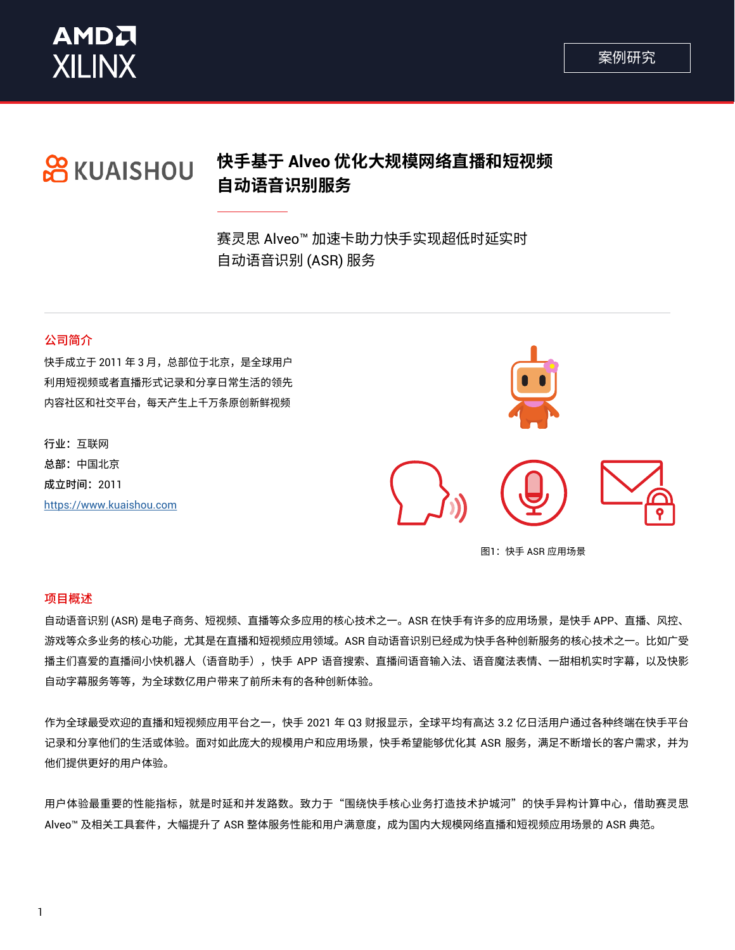



# 快手基于 Alveo 优化大规模网络直播和短视频 **OR KUAISHOU 自动语音识别服务**

赛灵思 Alveo™ 加速卡助力快手实现超低时延实时 自动语音识别 (ASR) 服务

## 公司简介

快手成立于 2011 年 3 月,总部位于北京,是全球用户 利用短视频或者直播形式记录和分享日常生活的领先 内容社区和社交平台,每天产生上千万条原创新鲜视频

行业:互联网 总部: 中国北京 成立时间: 2011 https://www.kuaishou.com



图1: 快手 ASR 应用场景

### 项目概述

自动语音识别 (ASR) 是电子商务、短视频、直播等众多应用的核心技术之一。ASR 在快手有许多的应用场景,是快手 APP、直播、风控、 游戏等众多业务的核心功能,尤其是在直播和短视频应用领域。ASR 自动语音识别已经成为快手各种创新服务的核心技术之一。比如广受 播主们喜爱的直播间小快机器人(语音助手),快手 APP 语音搜索、直播间语音输入法、语音魔法表情、一甜相机实时字幕,以及快影 自动字幕服务等等,为全球数亿用户带来了前所未有的各种创新体验。

作为全球最受欢迎的直播和短视频应用平台之一,快手 2021 年 Q3 财报显示,全球平均有高达 3.2 亿日活用户通过各种终端在快手平台 记录和分享他们的生活或体验。面对如此庞大的规模用户和应用场景,快手希望能够优化其 ASR 服务,满足不断增长的客户需求,并为 他们提供更好的用户体验。

用户体验最重要的性能指标,就是时延和并发路数。致力于"围绕快手核心业务打造技术护城河"的快手异构计算中心,借助赛灵思 Alveo™ 及相关工具套件,大幅提升了 ASR 整体服务性能和用户满意度,成为国内大规模网络直播和短视频应用场景的 ASR 典范。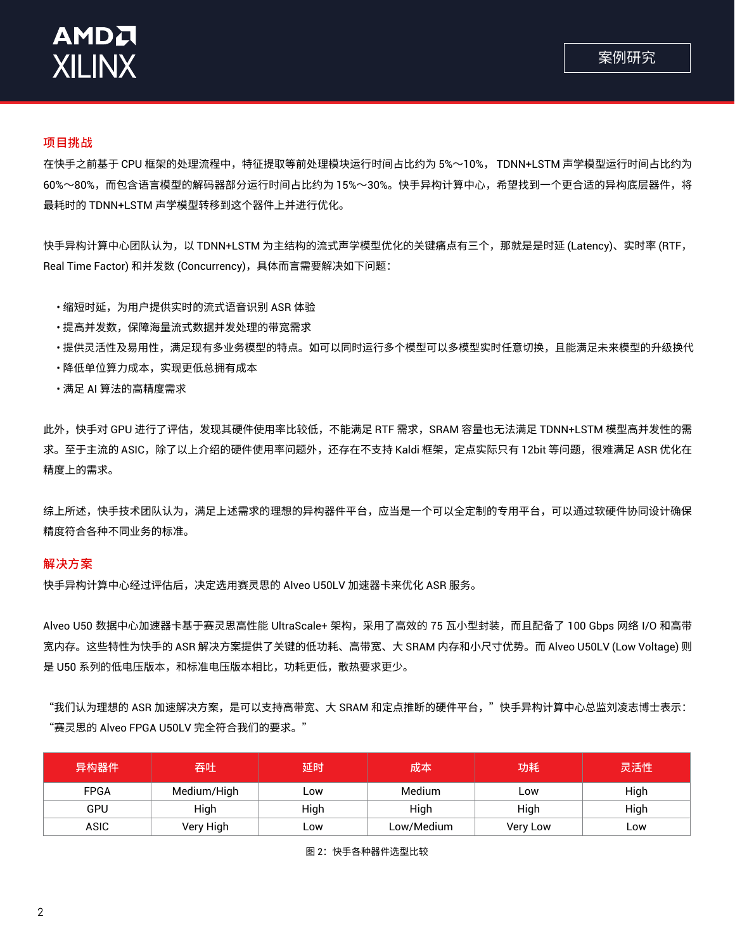

### 项目挑战

在快手之前基于 CPU 框架的处理流程中,特征提取等前处理模块运行时间占比约为 5%~10%, TDNN+LSTM 声学模型运行时间占比约为 60%~80%,而包含语言模型的解码器部分运行时间占比约为 15%~30%。快手异构计算中心,希望找到一个更合适的异构底层器件,将 最耗时的 TDNN+LSTM 声学模型转移到这个器件上并进行优化。

快手异构计算中心团队认为,以 TDNN+LSTM 为主结构的流式声学模型优化的关键痛点有三个,那就是是时延 (Latency)、实时率 (RTF, Real Time Factor) 和并发数 (Concurrency), 具体而言需要解决如下问题:

- ・缩短时延,为用户提供实时的流式语音识别 ASR 体验
- ・提高并发数,保障海量流式数据并发处理的带宽需求
- ・提供灵活性及易用性,满足现有多业务模型的特点。如可以同时运行多个模型可以多模型实时任意切换,且能满足未来模型的升级换代
- •降低单位算力成本,实现更低总拥有成本
- •满足 AI 算法的高精度需求

此外,快手对 GPU 进行了评估,发现其硬件使用率比较低,不能满足 RTF 需求,SRAM 容量也无法满足 TDNN+LSTM 模型高并发性的需 求。至于主流的 ASIC,除了以上介绍的硬件使用率问题外,还存在不支持 Kaldi 框架,定点实际只有 12bit 等问题,很难满足 ASR 优化在 精度上的需求。

综上所述,快手技术团队认为,满足上述需求的理想的异构器件平台,应当是一个可以全定制的专用平台,可以通过软硬件协同设计确保 精度符合各种不同业务的标准。

### 解决方案

快手异构计算中心经过评估后,决定选用赛灵思的 Alveo U50LV 加速器卡来优化 ASR 服务。

Alveo U50 数据中心加速器卡基于赛灵思高性能 UltraScale+ 架构,采用了高效的 75 瓦小型封装,而且配备了 100 Gbps 网络 I/O 和高带 宽内存。这些特性为快手的 ASR 解决方案提供了关键的低功耗、高带宽、大 SRAM 内存和小尺寸优势。而 Alveo U50LV (Low Voltage) 则 是 U50 系列的低电压版本,和标准电压版本相比,功耗更低,散热要求更少。

"我们认为理想的 ASR 加速解决方案,是可以支持高带宽、大 SRAM 和定点推断的硬件平台,"快手异构计算中心总监刘凌志博士表示: "赛灵思的 Alveo FPGA U50LV 完全符合我们的要求。"

| 异构器件        | 吞吐          | 延时   | 成本         | 功耗       | 灵活性  |
|-------------|-------------|------|------------|----------|------|
| <b>FPGA</b> | Medium/High | LOW  | Medium     | LOW      | High |
| GPU         | High        | High | High       | High     | High |
| ASIC        | Very High   | ∟ow  | Low/Medium | Very Low | LOW  |

图 2: 快手各种器件选型比较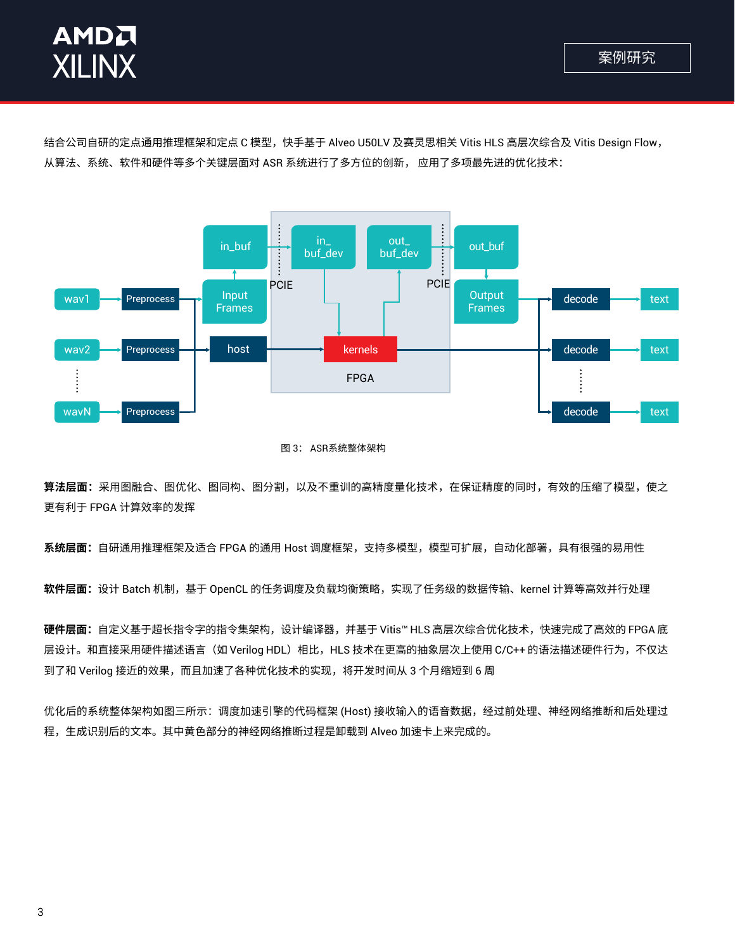

结合公司自研的定点通用推理框架和定点 C 模型,快手基于 Alveo U50LV 及赛灵思相关 Vitis HLS 高层次综合及 Vitis Design Flow, 从算法、系统、软件和硬件等多个关键层面对 ASR 系统进行了多方位的创新, 应用了多项最先进的优化技术:



#### 图 3: ASR系统整体架构

**算法层面:**采用图融合、图优化、图同构、图分割,以及不重训的高精度量化技术,在保证精度的同时,有效的压缩了模型,使之 更有利于 FPGA 计算效率的发挥

**系统层面:**自研通用推理框架及适合 FPGA 的通用 Host 调度框架,支持多模型,模型可扩展,自动化部署,具有很强的易用性

软件层面:设计 Batch 机制,基于 OpenCL 的任务调度及负载均衡策略,实现了任务级的数据传输、kernel 计算等高效并行处理

**硬件层面:**自定义基于超长指令字的指令集架构,设计编译器,并基于 Vitis™ HLS 高层次综合优化技术,快速完成了高效的 FPGA 底 层设计。和直接采用硬件描述语言(如 Verilog HDL)相比,HLS 技术在更高的抽象层次上使用 C/C++ 的语法描述硬件行为,不仅达 到了和 Verilog 接近的效果,而且加速了各种优化技术的实现,将开发时间从 3 个月缩短到 6 周

优化后的系统整体架构如图三所示:调度加速引擎的代码框架 (Host) 接收输入的语音数据,经过前处理、神经网络推断和后处理过 程,生成识别后的文本。其中黄色部分的神经网络推断过程是卸载到 Alveo 加速卡上来完成的。